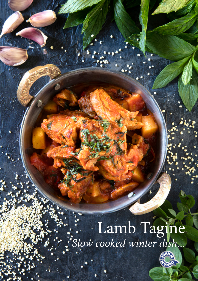# :<br>Slow cooked winter dish...